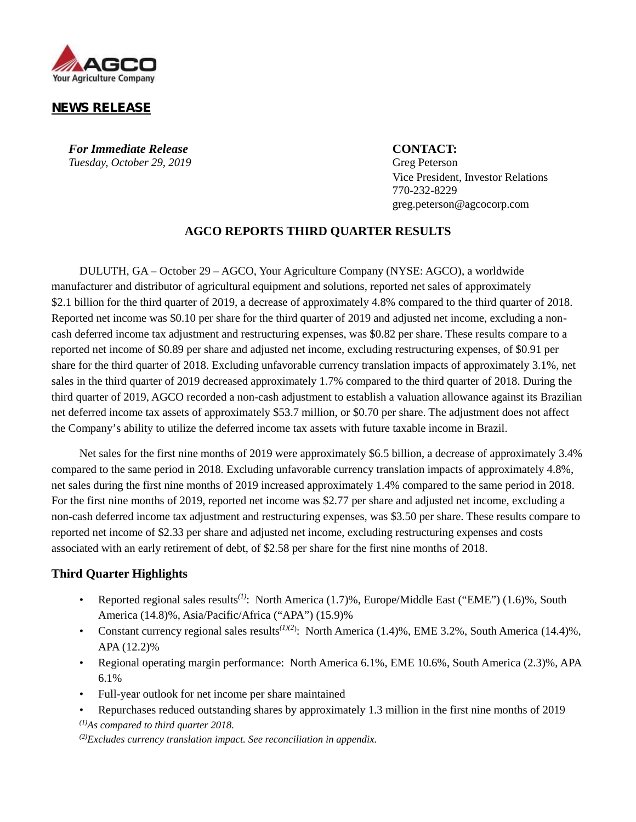

# **NEWS RELEASE**

*For Immediate Release* **CONTACT:** *Tuesday, October 29, 2019* Greg Peterson

Vice President, Investor Relations 770-232-8229 greg.peterson@agcocorp.com

## **AGCO REPORTS THIRD QUARTER RESULTS**

DULUTH, GA – October 29 – AGCO, Your Agriculture Company (NYSE: AGCO), a worldwide manufacturer and distributor of agricultural equipment and solutions, reported net sales of approximately \$2.1 billion for the third quarter of 2019, a decrease of approximately 4.8% compared to the third quarter of 2018. Reported net income was \$0.10 per share for the third quarter of 2019 and adjusted net income, excluding a non cash deferred income tax adjustment and restructuring expenses, was \$0.82 per share. These results compare to a reported net income of \$0.89 per share and adjusted net income, excluding restructuring expenses, of \$0.91 per share for the third quarter of 2018. Excluding unfavorable currency translation impacts of approximately 3.1%, net sales in the third quarter of 2019 decreased approximately 1.7% compared to the third quarter of 2018. During the third quarter of 2019, AGCO recorded a non-cash adjustment to establish a valuation allowance against its Brazilian net deferred income tax assets of approximately \$53.7 million, or \$0.70 per share. The adjustment does not affect the Company's ability to utilize the deferred income tax assets with future taxable income in Brazil.

Net sales for the first nine months of 2019 were approximately \$6.5 billion, a decrease of approximately 3.4% compared to the same period in 2018. Excluding unfavorable currency translation impacts of approximately 4.8%, net sales during the first nine months of 2019 increased approximately 1.4% compared to the same period in 2018. For the first nine months of 2019, reported net income was \$2.77 per share and adjusted net income, excluding a non-cash deferred income tax adjustment and restructuring expenses, was \$3.50 per share. These results compare to reported net income of \$2.33 per share and adjusted net income, excluding restructuring expenses and costs associated with an early retirement of debt, of \$2.58 per share for the first nine months of 2018.

## **Third Quarter Highlights**

- Reported regional sales results*(1)*: North America (1.7)%, Europe/Middle East ("EME") (1.6)%, South America (14.8)%, Asia/Pacific/Africa ("APA") (15.9)%
- Constant currency regional sales results*(1)(2*): North America (1.4)%, EME 3.2%, South America (14.4)%, APA (12.2)%
- Regional operating margin performance: North America 6.1%, EME 10.6%, South America (2.3)%, APA 6.1%
- Full-year outlook for net income per share maintained
- Repurchases reduced outstanding shares by approximately 1.3 million in the first nine months of 2019 *(1)As compared to third quarter 2018.*

*(2)Excludes currency translation impact. See reconciliation in appendix.*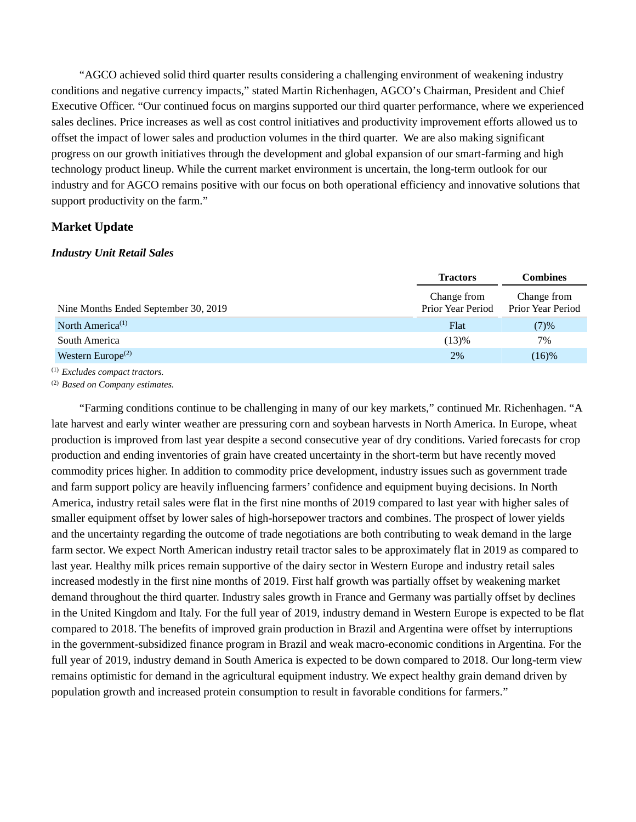"AGCO achieved solid third quarter results considering a challenging environment of weakening industry conditions and negative currency impacts," stated Martin Richenhagen, AGCO's Chairman, President and Chief Executive Officer. "Our continued focus on margins supported our third quarter performance, where we experienced sales declines. Price increases as well as cost control initiatives and productivity improvement efforts allowed us to offset the impact of lower sales and production volumes in the third quarter. We are also making significant progress on our growth initiatives through the development and global expansion of our smart-farming and high technology product lineup. While the current market environment is uncertain, the long-term outlook for our industry and for AGCO remains positive with our focus on both operational efficiency and innovative solutions that support productivity on the farm."

## **Market Update**

#### *Industry Unit Retail Sales*

|                                            | <b>Tractors</b>                                    | <b>Combines</b> |  |  |  |
|--------------------------------------------|----------------------------------------------------|-----------------|--|--|--|
| Nine Months Ended September 30, 2019       | Change from<br>Prior Year Period Prior Year Period | Change from     |  |  |  |
| North America <sup>(1)</sup>               | Flat                                               | (7)%            |  |  |  |
| South America                              | (13)%                                              | 7%              |  |  |  |
| Western Europe <sup><math>(2)</math></sup> | 2%                                                 | (16)%           |  |  |  |

(1) *Excludes compact tractors.*

(2) *Based on Company estimates.*

"Farming conditions continue to be challenging in many of our key markets," continued Mr. Richenhagen. "A late harvest and early winter weather are pressuring corn and soybean harvests in North America. In Europe, wheat production is improved from last year despite a second consecutive year of dry conditions. Varied forecasts for crop production and ending inventories of grain have created uncertainty in the short-term but have recently moved commodity prices higher. In addition to commodity price development, industry issues such as government trade and farm support policy are heavily influencing farmers' confidence and equipment buying decisions. In North America, industry retail sales were flat in the first nine months of 2019 compared to last year with higher sales of smaller equipment offset by lower sales of high-horsepower tractors and combines. The prospect of lower yields and the uncertainty regarding the outcome of trade negotiations are both contributing to weak demand in the large farm sector. We expect North American industry retail tractor sales to be approximately flat in 2019 as compared to last year. Healthy milk prices remain supportive of the dairy sector in Western Europe and industry retail sales increased modestly in the first nine months of 2019. First half growth was partially offset by weakening market demand throughout the third quarter. Industry sales growth in France and Germany was partially offset by declines in the United Kingdom and Italy. For the full year of 2019, industry demand in Western Europe is expected to be flat compared to 2018. The benefits of improved grain production in Brazil and Argentina were offset by interruptions in the government-subsidized finance program in Brazil and weak macro-economic conditions in Argentina. For the full year of 2019, industry demand in South America is expected to be down compared to 2018. Our long-term view remains optimistic for demand in the agricultural equipment industry. We expect healthy grain demand driven by population growth and increased protein consumption to result in favorable conditions for farmers."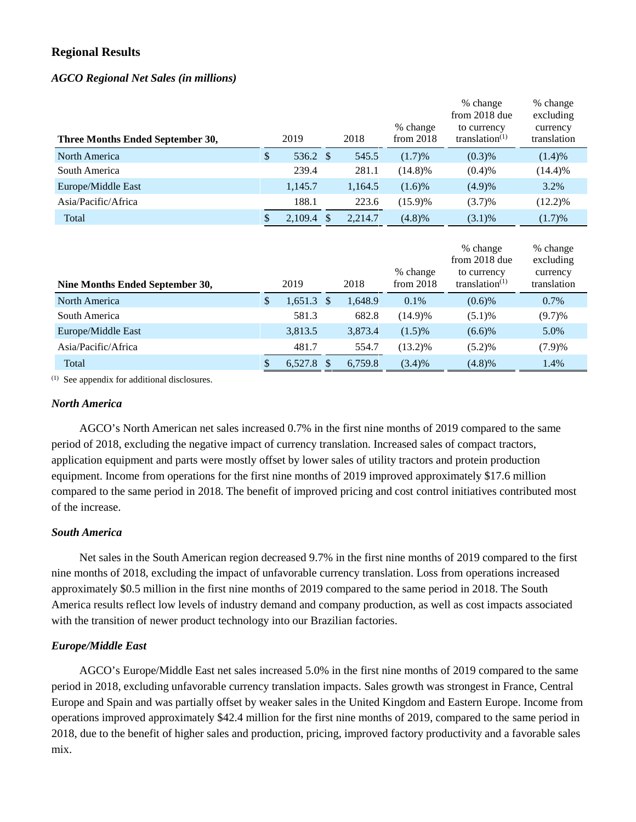# **Regional Results**

#### *AGCO Regional Net Sales (in millions)*

|                                  |               |          |               |         | % change                | % change<br>from 2018 due<br>to currency                      | % change<br>excluding<br>currency                |
|----------------------------------|---------------|----------|---------------|---------|-------------------------|---------------------------------------------------------------|--------------------------------------------------|
| Three Months Ended September 30, |               | 2019     |               | 2018    | from $2018$             | translation $(1)$                                             | translation                                      |
| North America                    | $\mathcal{S}$ | 536.2 \$ |               | 545.5   | (1.7)%                  | (0.3)%                                                        | (1.4)%                                           |
| South America                    |               | 239.4    |               | 281.1   | $(14.8)\%$              | (0.4)%                                                        | (14.4)%                                          |
| Europe/Middle East               |               | 1,145.7  |               | 1,164.5 | $(1.6)\%$               | (4.9)%                                                        | 3.2%                                             |
| Asia/Pacific/Africa              |               | 188.1    |               | 223.6   | $(15.9)\%$              | $(3.7)\%$                                                     | (12.2)%                                          |
| Total                            | \$            | 2,109.4  | $\mathcal{S}$ | 2,214.7 | (4.8)%                  | $(3.1)\%$                                                     | (1.7)%                                           |
| Nine Months Ended September 30,  |               | 2019     |               | 2018    | % change<br>from $2018$ | % change<br>from 2018 due<br>to currency<br>translation $(1)$ | % change<br>excluding<br>currency<br>translation |
| North America                    | $\mathbb{S}$  | 1,651.3  | $\mathcal{S}$ | 1,648.9 | 0.1%                    | $(0.6)$ %                                                     | 0.7%                                             |
| South America                    |               | 581.3    |               | 682.8   | $(14.9)\%$              | $(5.1)\%$                                                     | (9.7)%                                           |
| Europe/Middle East               |               | 3,813.5  |               | 3,873.4 | $(1.5)\%$               | $(6.6)$ %                                                     | 5.0%                                             |
| Asia/Pacific/Africa              |               | 481.7    |               | 554.7   | $(13.2)\%$              | $(5.2)\%$                                                     | (7.9)%                                           |
| Total                            |               |          |               |         |                         |                                                               |                                                  |

(1) See appendix for additional disclosures.

#### *North America*

AGCO's North American net sales increased 0.7% in the first nine months of 2019 compared to the same period of 2018, excluding the negative impact of currency translation. Increased sales of compact tractors, application equipment and parts were mostly offset by lower sales of utility tractors and protein production equipment. Income from operations for the first nine months of 2019 improved approximately \$17.6 million compared to the same period in 2018. The benefit of improved pricing and cost control initiatives contributed most of the increase.

#### *South America*

Net sales in the South American region decreased 9.7% in the first nine months of 2019 compared to the first nine months of 2018, excluding the impact of unfavorable currency translation. Loss from operations increased approximately \$0.5 million in the first nine months of 2019 compared to the same period in 2018. The South America results reflect low levels of industry demand and company production, as well as cost impacts associated with the transition of newer product technology into our Brazilian factories.

#### *Europe/Middle East*

AGCO's Europe/Middle East net sales increased 5.0% in the first nine months of 2019 compared to the same period in 2018, excluding unfavorable currency translation impacts. Sales growth was strongest in France, Central Europe and Spain and was partially offset by weaker sales in the United Kingdom and Eastern Europe. Income from operations improved approximately \$42.4 million for the first nine months of 2019, compared to the same period in 2018, due to the benefit of higher sales and production, pricing, improved factory productivity and a favorable sales mix.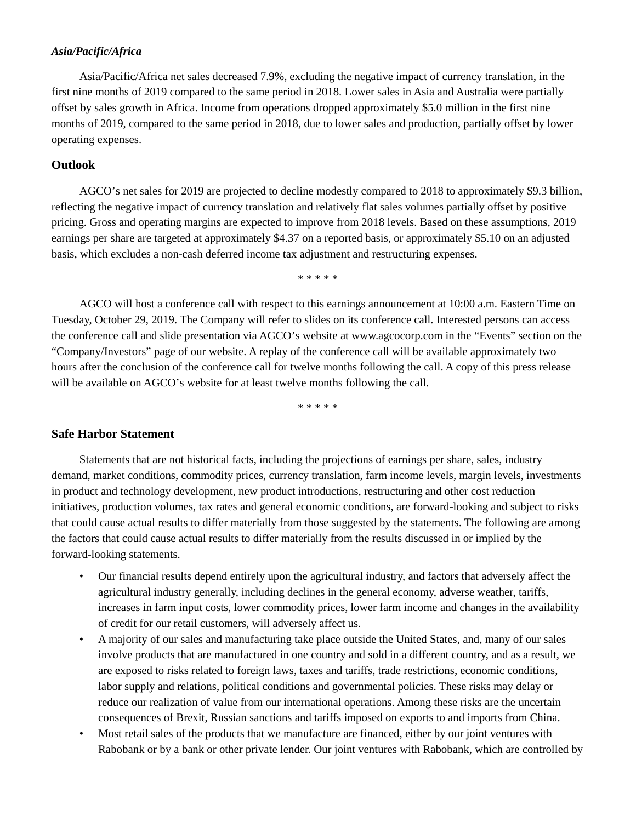#### *Asia/Pacific/Africa*

Asia/Pacific/Africa net sales decreased 7.9%, excluding the negative impact of currency translation, in the first nine months of 2019 compared to the same period in 2018. Lower sales in Asia and Australia were partially offset by sales growth in Africa. Income from operations dropped approximately \$5.0 million in the first nine months of 2019, compared to the same period in 2018, due to lower sales and production, partially offset by lower operating expenses.

#### **Outlook**

AGCO's net sales for 2019 are projected to decline modestly compared to 2018 to approximately \$9.3 billion, reflecting the negative impact of currency translation and relatively flat sales volumes partially offset by positive pricing. Gross and operating margins are expected to improve from 2018 levels. Based on these assumptions, 2019 earnings per share are targeted at approximately \$4.37 on a reported basis, or approximately \$5.10 on an adjusted basis, which excludes a non-cash deferred income tax adjustment and restructuring expenses.

\* \* \* \* \*

AGCO will host a conference call with respect to this earnings announcement at 10:00 a.m. Eastern Time on Tuesday, October 29, 2019. The Company will refer to slides on its conference call. Interested persons can access the conference call and slide presentation via AGCO's website at www.agcocorp.com in the "Events" section on the "Company/Investors" page of our website. A replay of the conference call will be available approximately two hours after the conclusion of the conference call for twelve months following the call. A copy of this press release will be available on AGCO's website for at least twelve months following the call.

\* \* \* \* \*

# **Safe Harbor Statement**

Statements that are not historical facts, including the projections of earnings per share, sales, industry demand, market conditions, commodity prices, currency translation, farm income levels, margin levels, investments in product and technology development, new product introductions, restructuring and other cost reduction initiatives, production volumes, tax rates and general economic conditions, are forward-looking and subject to risks that could cause actual results to differ materially from those suggested by the statements. The following are among the factors that could cause actual results to differ materially from the results discussed in or implied by the forward-looking statements.

- Our financial results depend entirely upon the agricultural industry, and factors that adversely affect the agricultural industry generally, including declines in the general economy, adverse weather, tariffs, increases in farm input costs, lower commodity prices, lower farm income and changes in the availability of credit for our retail customers, will adversely affect us.
- A majority of our sales and manufacturing take place outside the United States, and, many of our sales involve products that are manufactured in one country and sold in a different country, and as a result, we are exposed to risks related to foreign laws, taxes and tariffs, trade restrictions, economic conditions, labor supply and relations, political conditions and governmental policies. These risks may delay or reduce our realization of value from our international operations. Among these risks are the uncertain consequences of Brexit, Russian sanctions and tariffs imposed on exports to and imports from China.
- Most retail sales of the products that we manufacture are financed, either by our joint ventures with Rabobank or by a bank or other private lender. Our joint ventures with Rabobank, which are controlled by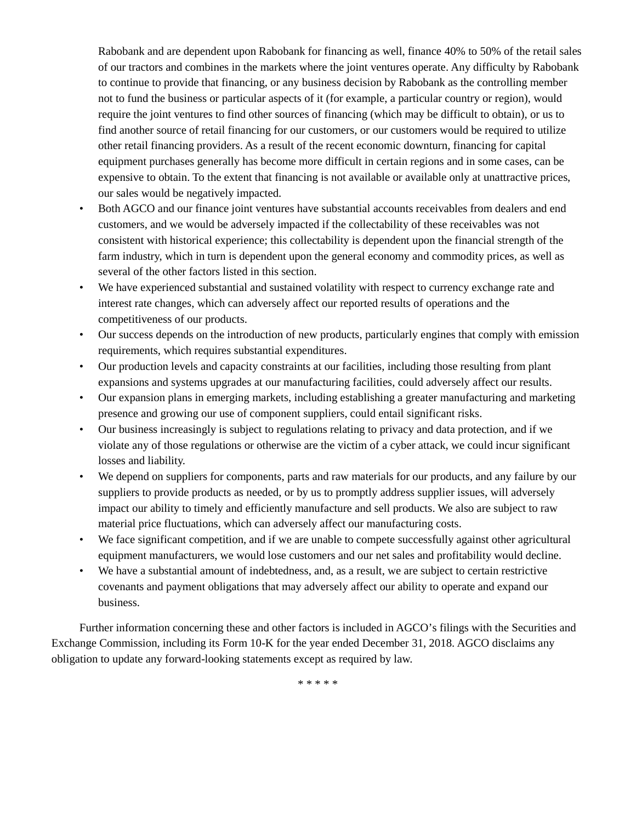Rabobank and are dependent upon Rabobank for financing as well, finance 40% to 50% of the retail sales of our tractors and combines in the markets where the joint ventures operate. Any difficulty by Rabobank to continue to provide that financing, or any business decision by Rabobank as the controlling member not to fund the business or particular aspects of it (for example, a particular country or region), would require the joint ventures to find other sources of financing (which may be difficult to obtain), or us to find another source of retail financing for our customers, or our customers would be required to utilize other retail financing providers. As a result of the recent economic downturn, financing for capital equipment purchases generally has become more difficult in certain regions and in some cases, can be expensive to obtain. To the extent that financing is not available or available only at unattractive prices, our sales would be negatively impacted.

- Both AGCO and our finance joint ventures have substantial accounts receivables from dealers and end customers, and we would be adversely impacted if the collectability of these receivables was not consistent with historical experience; this collectability is dependent upon the financial strength of the farm industry, which in turn is dependent upon the general economy and commodity prices, as well as several of the other factors listed in this section.
- We have experienced substantial and sustained volatility with respect to currency exchange rate and interest rate changes, which can adversely affect our reported results of operations and the competitiveness of our products.
- Our success depends on the introduction of new products, particularly engines that comply with emission requirements, which requires substantial expenditures.
- Our production levels and capacity constraints at our facilities, including those resulting from plant expansions and systems upgrades at our manufacturing facilities, could adversely affect our results.
- Our expansion plans in emerging markets, including establishing a greater manufacturing and marketing presence and growing our use of component suppliers, could entail significant risks.
- Our business increasingly is subject to regulations relating to privacy and data protection, and if we violate any of those regulations or otherwise are the victim of a cyber attack, we could incur significant losses and liability.
- We depend on suppliers for components, parts and raw materials for our products, and any failure by our suppliers to provide products as needed, or by us to promptly address supplier issues, will adversely impact our ability to timely and efficiently manufacture and sell products. We also are subject to raw material price fluctuations, which can adversely affect our manufacturing costs.
- We face significant competition, and if we are unable to compete successfully against other agricultural equipment manufacturers, we would lose customers and our net sales and profitability would decline.
- We have a substantial amount of indebtedness, and, as a result, we are subject to certain restrictive covenants and payment obligations that may adversely affect our ability to operate and expand our business.

Further information concerning these and other factors is included in AGCO's filings with the Securities and Exchange Commission, including its Form 10-K for the year ended December 31, 2018. AGCO disclaims any obligation to update any forward-looking statements except as required by law.

\* \* \* \* \*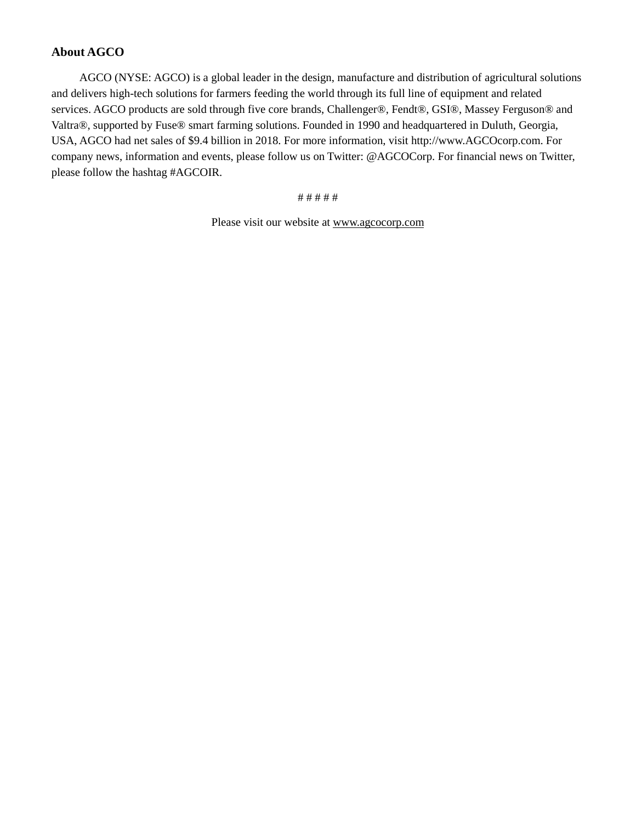# **About AGCO**

AGCO (NYSE: AGCO) is a global leader in the design, manufacture and distribution of agricultural solutions and delivers high-tech solutions for farmers feeding the world through its full line of equipment and related services. AGCO products are sold through five core brands, Challenger®, Fendt®, GSI®, Massey Ferguson® and Valtra®, supported by Fuse® smart farming solutions. Founded in 1990 and headquartered in Duluth, Georgia, USA, AGCO had net sales of \$9.4 billion in 2018. For more information, visit http://www.AGCOcorp.com. For company news, information and events, please follow us on Twitter: @AGCOCorp. For financial news on Twitter, please follow the hashtag #AGCOIR.

# # # # #

Please visit our website at www.agcocorp.com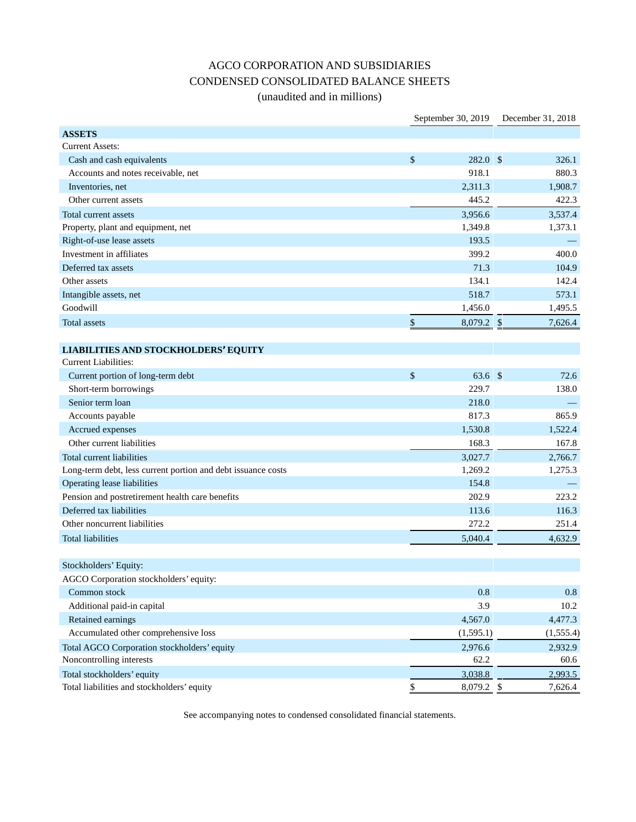# AGCO CORPORATION AND SUBSIDIARIES CONDENSED CONSOLIDATED BALANCE SHEETS

#### (unaudited and in millions)

| <b>ASSETS</b><br><b>Current Assets:</b><br>Cash and cash equivalents<br>\$<br>282.0 \$<br>326.1<br>918.1<br>Accounts and notes receivable, net<br>2,311.3<br>Inventories, net<br>Other current assets<br>445.2<br>3,956.6<br>Total current assets<br>1,349.8<br>1,373.1<br>Property, plant and equipment, net<br>Right-of-use lease assets<br>193.5<br>Investment in affiliates<br>399.2<br>Deferred tax assets<br>71.3<br>134.1<br>Other assets<br>142.4<br>518.7<br>573.1<br>Intangible assets, net<br>Goodwill<br>1,456.0<br>\$<br>8,079.2 \$<br>Total assets<br><b>LIABILITIES AND STOCKHOLDERS' EQUITY</b><br>Current Liabilities:<br>\$<br>Current portion of long-term debt<br>63.6 \$<br>229.7<br>Short-term borrowings<br>Senior term loan<br>218.0<br>817.3<br>Accounts payable<br>Accrued expenses<br>1,530.8<br>Other current liabilities<br>168.3<br>Total current liabilities<br>3,027.7<br>Long-term debt, less current portion and debt issuance costs<br>1,269.2<br>Operating lease liabilities<br>154.8<br>Pension and postretirement health care benefits<br>202.9<br>Deferred tax liabilities<br>113.6<br>272.2<br>Other noncurrent liabilities<br><b>Total liabilities</b><br>5,040.4<br>Stockholders' Equity:<br>AGCO Corporation stockholders' equity:<br>0.8<br>Common stock<br>Additional paid-in capital<br>3.9<br>Retained earnings<br>4,567.0<br>Accumulated other comprehensive loss<br>(1, 595.1)<br>Total AGCO Corporation stockholders' equity<br>2,976.6<br>Noncontrolling interests<br>62.2<br>Total stockholders' equity<br>3,038.8 |                                            | September 30, 2019 | December 31, 2018 |
|------------------------------------------------------------------------------------------------------------------------------------------------------------------------------------------------------------------------------------------------------------------------------------------------------------------------------------------------------------------------------------------------------------------------------------------------------------------------------------------------------------------------------------------------------------------------------------------------------------------------------------------------------------------------------------------------------------------------------------------------------------------------------------------------------------------------------------------------------------------------------------------------------------------------------------------------------------------------------------------------------------------------------------------------------------------------------------------------------------------------------------------------------------------------------------------------------------------------------------------------------------------------------------------------------------------------------------------------------------------------------------------------------------------------------------------------------------------------------------------------------------------------------------------------------------------------|--------------------------------------------|--------------------|-------------------|
| 880.3<br>400.0<br>104.9<br>1,495.5<br>7,626.4<br>865.9<br>1,522.4<br>1,275.3<br>223.2<br>116.3<br>251.4<br>4,632.9                                                                                                                                                                                                                                                                                                                                                                                                                                                                                                                                                                                                                                                                                                                                                                                                                                                                                                                                                                                                                                                                                                                                                                                                                                                                                                                                                                                                                                                     |                                            |                    |                   |
| 2,766.7<br>10.2<br>4,477.3<br>(1, 555.4)<br>2,932.9<br>60.6<br>2,993.5                                                                                                                                                                                                                                                                                                                                                                                                                                                                                                                                                                                                                                                                                                                                                                                                                                                                                                                                                                                                                                                                                                                                                                                                                                                                                                                                                                                                                                                                                                 |                                            |                    |                   |
|                                                                                                                                                                                                                                                                                                                                                                                                                                                                                                                                                                                                                                                                                                                                                                                                                                                                                                                                                                                                                                                                                                                                                                                                                                                                                                                                                                                                                                                                                                                                                                        |                                            |                    |                   |
|                                                                                                                                                                                                                                                                                                                                                                                                                                                                                                                                                                                                                                                                                                                                                                                                                                                                                                                                                                                                                                                                                                                                                                                                                                                                                                                                                                                                                                                                                                                                                                        |                                            |                    |                   |
|                                                                                                                                                                                                                                                                                                                                                                                                                                                                                                                                                                                                                                                                                                                                                                                                                                                                                                                                                                                                                                                                                                                                                                                                                                                                                                                                                                                                                                                                                                                                                                        |                                            |                    | 1,908.7           |
|                                                                                                                                                                                                                                                                                                                                                                                                                                                                                                                                                                                                                                                                                                                                                                                                                                                                                                                                                                                                                                                                                                                                                                                                                                                                                                                                                                                                                                                                                                                                                                        |                                            |                    | 422.3             |
|                                                                                                                                                                                                                                                                                                                                                                                                                                                                                                                                                                                                                                                                                                                                                                                                                                                                                                                                                                                                                                                                                                                                                                                                                                                                                                                                                                                                                                                                                                                                                                        |                                            |                    | 3,537.4           |
|                                                                                                                                                                                                                                                                                                                                                                                                                                                                                                                                                                                                                                                                                                                                                                                                                                                                                                                                                                                                                                                                                                                                                                                                                                                                                                                                                                                                                                                                                                                                                                        |                                            |                    |                   |
|                                                                                                                                                                                                                                                                                                                                                                                                                                                                                                                                                                                                                                                                                                                                                                                                                                                                                                                                                                                                                                                                                                                                                                                                                                                                                                                                                                                                                                                                                                                                                                        |                                            |                    |                   |
|                                                                                                                                                                                                                                                                                                                                                                                                                                                                                                                                                                                                                                                                                                                                                                                                                                                                                                                                                                                                                                                                                                                                                                                                                                                                                                                                                                                                                                                                                                                                                                        |                                            |                    |                   |
|                                                                                                                                                                                                                                                                                                                                                                                                                                                                                                                                                                                                                                                                                                                                                                                                                                                                                                                                                                                                                                                                                                                                                                                                                                                                                                                                                                                                                                                                                                                                                                        |                                            |                    |                   |
|                                                                                                                                                                                                                                                                                                                                                                                                                                                                                                                                                                                                                                                                                                                                                                                                                                                                                                                                                                                                                                                                                                                                                                                                                                                                                                                                                                                                                                                                                                                                                                        |                                            |                    |                   |
|                                                                                                                                                                                                                                                                                                                                                                                                                                                                                                                                                                                                                                                                                                                                                                                                                                                                                                                                                                                                                                                                                                                                                                                                                                                                                                                                                                                                                                                                                                                                                                        |                                            |                    |                   |
|                                                                                                                                                                                                                                                                                                                                                                                                                                                                                                                                                                                                                                                                                                                                                                                                                                                                                                                                                                                                                                                                                                                                                                                                                                                                                                                                                                                                                                                                                                                                                                        |                                            |                    |                   |
|                                                                                                                                                                                                                                                                                                                                                                                                                                                                                                                                                                                                                                                                                                                                                                                                                                                                                                                                                                                                                                                                                                                                                                                                                                                                                                                                                                                                                                                                                                                                                                        |                                            |                    |                   |
|                                                                                                                                                                                                                                                                                                                                                                                                                                                                                                                                                                                                                                                                                                                                                                                                                                                                                                                                                                                                                                                                                                                                                                                                                                                                                                                                                                                                                                                                                                                                                                        |                                            |                    |                   |
|                                                                                                                                                                                                                                                                                                                                                                                                                                                                                                                                                                                                                                                                                                                                                                                                                                                                                                                                                                                                                                                                                                                                                                                                                                                                                                                                                                                                                                                                                                                                                                        |                                            |                    |                   |
|                                                                                                                                                                                                                                                                                                                                                                                                                                                                                                                                                                                                                                                                                                                                                                                                                                                                                                                                                                                                                                                                                                                                                                                                                                                                                                                                                                                                                                                                                                                                                                        |                                            |                    |                   |
|                                                                                                                                                                                                                                                                                                                                                                                                                                                                                                                                                                                                                                                                                                                                                                                                                                                                                                                                                                                                                                                                                                                                                                                                                                                                                                                                                                                                                                                                                                                                                                        |                                            |                    | 72.6              |
|                                                                                                                                                                                                                                                                                                                                                                                                                                                                                                                                                                                                                                                                                                                                                                                                                                                                                                                                                                                                                                                                                                                                                                                                                                                                                                                                                                                                                                                                                                                                                                        |                                            |                    | 138.0             |
|                                                                                                                                                                                                                                                                                                                                                                                                                                                                                                                                                                                                                                                                                                                                                                                                                                                                                                                                                                                                                                                                                                                                                                                                                                                                                                                                                                                                                                                                                                                                                                        |                                            |                    |                   |
|                                                                                                                                                                                                                                                                                                                                                                                                                                                                                                                                                                                                                                                                                                                                                                                                                                                                                                                                                                                                                                                                                                                                                                                                                                                                                                                                                                                                                                                                                                                                                                        |                                            |                    |                   |
|                                                                                                                                                                                                                                                                                                                                                                                                                                                                                                                                                                                                                                                                                                                                                                                                                                                                                                                                                                                                                                                                                                                                                                                                                                                                                                                                                                                                                                                                                                                                                                        |                                            |                    |                   |
|                                                                                                                                                                                                                                                                                                                                                                                                                                                                                                                                                                                                                                                                                                                                                                                                                                                                                                                                                                                                                                                                                                                                                                                                                                                                                                                                                                                                                                                                                                                                                                        |                                            |                    | 167.8             |
|                                                                                                                                                                                                                                                                                                                                                                                                                                                                                                                                                                                                                                                                                                                                                                                                                                                                                                                                                                                                                                                                                                                                                                                                                                                                                                                                                                                                                                                                                                                                                                        |                                            |                    |                   |
|                                                                                                                                                                                                                                                                                                                                                                                                                                                                                                                                                                                                                                                                                                                                                                                                                                                                                                                                                                                                                                                                                                                                                                                                                                                                                                                                                                                                                                                                                                                                                                        |                                            |                    |                   |
|                                                                                                                                                                                                                                                                                                                                                                                                                                                                                                                                                                                                                                                                                                                                                                                                                                                                                                                                                                                                                                                                                                                                                                                                                                                                                                                                                                                                                                                                                                                                                                        |                                            |                    |                   |
|                                                                                                                                                                                                                                                                                                                                                                                                                                                                                                                                                                                                                                                                                                                                                                                                                                                                                                                                                                                                                                                                                                                                                                                                                                                                                                                                                                                                                                                                                                                                                                        |                                            |                    |                   |
|                                                                                                                                                                                                                                                                                                                                                                                                                                                                                                                                                                                                                                                                                                                                                                                                                                                                                                                                                                                                                                                                                                                                                                                                                                                                                                                                                                                                                                                                                                                                                                        |                                            |                    |                   |
|                                                                                                                                                                                                                                                                                                                                                                                                                                                                                                                                                                                                                                                                                                                                                                                                                                                                                                                                                                                                                                                                                                                                                                                                                                                                                                                                                                                                                                                                                                                                                                        |                                            |                    |                   |
|                                                                                                                                                                                                                                                                                                                                                                                                                                                                                                                                                                                                                                                                                                                                                                                                                                                                                                                                                                                                                                                                                                                                                                                                                                                                                                                                                                                                                                                                                                                                                                        |                                            |                    |                   |
|                                                                                                                                                                                                                                                                                                                                                                                                                                                                                                                                                                                                                                                                                                                                                                                                                                                                                                                                                                                                                                                                                                                                                                                                                                                                                                                                                                                                                                                                                                                                                                        |                                            |                    |                   |
|                                                                                                                                                                                                                                                                                                                                                                                                                                                                                                                                                                                                                                                                                                                                                                                                                                                                                                                                                                                                                                                                                                                                                                                                                                                                                                                                                                                                                                                                                                                                                                        |                                            |                    |                   |
|                                                                                                                                                                                                                                                                                                                                                                                                                                                                                                                                                                                                                                                                                                                                                                                                                                                                                                                                                                                                                                                                                                                                                                                                                                                                                                                                                                                                                                                                                                                                                                        |                                            |                    |                   |
|                                                                                                                                                                                                                                                                                                                                                                                                                                                                                                                                                                                                                                                                                                                                                                                                                                                                                                                                                                                                                                                                                                                                                                                                                                                                                                                                                                                                                                                                                                                                                                        |                                            |                    | 0.8               |
|                                                                                                                                                                                                                                                                                                                                                                                                                                                                                                                                                                                                                                                                                                                                                                                                                                                                                                                                                                                                                                                                                                                                                                                                                                                                                                                                                                                                                                                                                                                                                                        |                                            |                    |                   |
|                                                                                                                                                                                                                                                                                                                                                                                                                                                                                                                                                                                                                                                                                                                                                                                                                                                                                                                                                                                                                                                                                                                                                                                                                                                                                                                                                                                                                                                                                                                                                                        |                                            |                    |                   |
|                                                                                                                                                                                                                                                                                                                                                                                                                                                                                                                                                                                                                                                                                                                                                                                                                                                                                                                                                                                                                                                                                                                                                                                                                                                                                                                                                                                                                                                                                                                                                                        |                                            |                    |                   |
|                                                                                                                                                                                                                                                                                                                                                                                                                                                                                                                                                                                                                                                                                                                                                                                                                                                                                                                                                                                                                                                                                                                                                                                                                                                                                                                                                                                                                                                                                                                                                                        |                                            |                    |                   |
|                                                                                                                                                                                                                                                                                                                                                                                                                                                                                                                                                                                                                                                                                                                                                                                                                                                                                                                                                                                                                                                                                                                                                                                                                                                                                                                                                                                                                                                                                                                                                                        |                                            |                    |                   |
|                                                                                                                                                                                                                                                                                                                                                                                                                                                                                                                                                                                                                                                                                                                                                                                                                                                                                                                                                                                                                                                                                                                                                                                                                                                                                                                                                                                                                                                                                                                                                                        |                                            |                    |                   |
|                                                                                                                                                                                                                                                                                                                                                                                                                                                                                                                                                                                                                                                                                                                                                                                                                                                                                                                                                                                                                                                                                                                                                                                                                                                                                                                                                                                                                                                                                                                                                                        | Total liabilities and stockholders' equity | \$<br>8,079.2 \$   | 7,626.4           |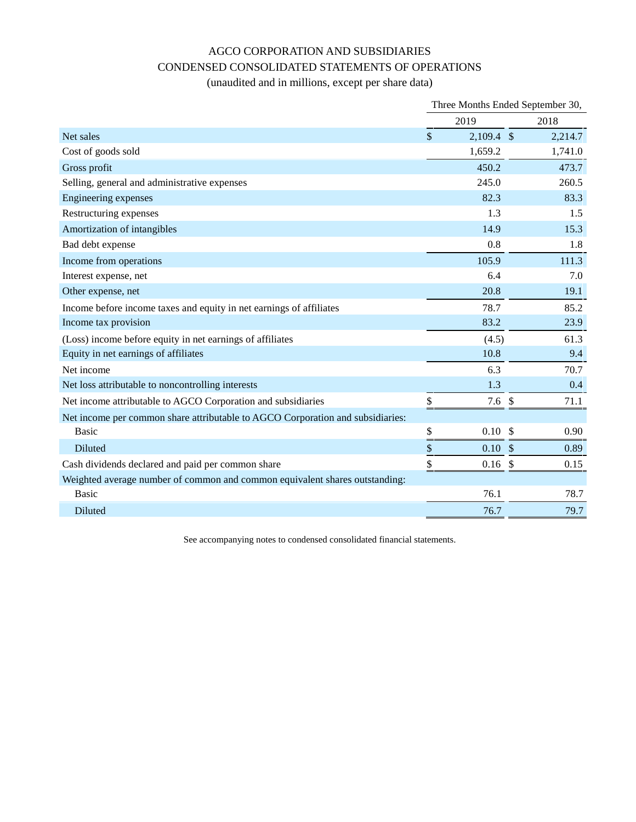# AGCO CORPORATION AND SUBSIDIARIES CONDENSED CONSOLIDATED STATEMENTS OF OPERATIONS

(unaudited and in millions, except per share data)

|                                                                                | Three Months Ended September 30, |                  |  |         |  |  |
|--------------------------------------------------------------------------------|----------------------------------|------------------|--|---------|--|--|
|                                                                                |                                  | 2019             |  | 2018    |  |  |
| Net sales                                                                      | $\mathbb{S}$                     | $2,109.4$ \$     |  | 2,214.7 |  |  |
| Cost of goods sold                                                             |                                  | 1,659.2          |  | 1,741.0 |  |  |
| Gross profit                                                                   |                                  | 450.2            |  | 473.7   |  |  |
| Selling, general and administrative expenses                                   |                                  | 245.0            |  | 260.5   |  |  |
| Engineering expenses                                                           |                                  | 82.3             |  | 83.3    |  |  |
| Restructuring expenses                                                         |                                  | 1.3              |  | 1.5     |  |  |
| Amortization of intangibles                                                    |                                  | 14.9             |  | 15.3    |  |  |
| Bad debt expense                                                               |                                  | 0.8              |  | 1.8     |  |  |
| Income from operations                                                         |                                  | 105.9            |  | 111.3   |  |  |
| Interest expense, net                                                          |                                  | 6.4              |  | 7.0     |  |  |
| Other expense, net                                                             |                                  | 20.8             |  | 19.1    |  |  |
| Income before income taxes and equity in net earnings of affiliates            |                                  | 78.7             |  | 85.2    |  |  |
| Income tax provision                                                           |                                  | 83.2             |  | 23.9    |  |  |
| (Loss) income before equity in net earnings of affiliates                      |                                  | (4.5)            |  | 61.3    |  |  |
| Equity in net earnings of affiliates                                           |                                  | 10.8             |  | 9.4     |  |  |
| Net income                                                                     |                                  | 6.3              |  | 70.7    |  |  |
| Net loss attributable to noncontrolling interests                              |                                  | 1.3              |  | 0.4     |  |  |
| Net income attributable to AGCO Corporation and subsidiaries                   | \$                               | 7.6 <sup>°</sup> |  | 71.1    |  |  |
| Net income per common share attributable to AGCO Corporation and subsidiaries: |                                  |                  |  |         |  |  |
| <b>Basic</b>                                                                   | \$                               | $0.10\,$ \$      |  | 0.90    |  |  |
| Diluted                                                                        | $\frac{1}{2}$                    | $0.10*$          |  | 0.89    |  |  |
| Cash dividends declared and paid per common share                              | \$                               | $0.16$ \$        |  | 0.15    |  |  |
| Weighted average number of common and common equivalent shares outstanding:    |                                  |                  |  |         |  |  |
| <b>Basic</b>                                                                   |                                  | 76.1             |  | 78.7    |  |  |
| Diluted                                                                        |                                  | 76.7             |  | 79.7    |  |  |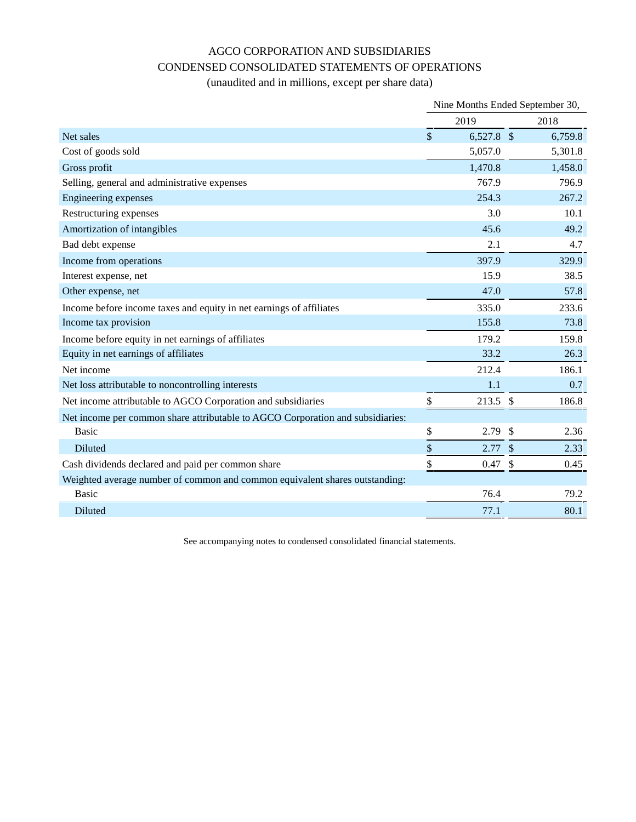# AGCO CORPORATION AND SUBSIDIARIES CONDENSED CONSOLIDATED STATEMENTS OF OPERATIONS

(unaudited and in millions, except per share data)

|                                                                                | Nine Months Ended September 30, |              |            |         |  |  |
|--------------------------------------------------------------------------------|---------------------------------|--------------|------------|---------|--|--|
|                                                                                |                                 | 2019         | 2018       |         |  |  |
| Net sales                                                                      | $\mathbb{S}$                    | $6,527.8$ \$ |            | 6,759.8 |  |  |
| Cost of goods sold                                                             |                                 | 5,057.0      |            | 5,301.8 |  |  |
| Gross profit                                                                   |                                 | 1,470.8      |            | 1,458.0 |  |  |
| Selling, general and administrative expenses                                   |                                 | 767.9        |            | 796.9   |  |  |
| <b>Engineering expenses</b>                                                    |                                 | 254.3        |            | 267.2   |  |  |
| Restructuring expenses                                                         |                                 | 3.0          |            | 10.1    |  |  |
| Amortization of intangibles                                                    |                                 | 45.6         |            | 49.2    |  |  |
| Bad debt expense                                                               |                                 | 2.1          |            | 4.7     |  |  |
| Income from operations                                                         |                                 | 397.9        |            | 329.9   |  |  |
| Interest expense, net                                                          |                                 | 15.9         |            | 38.5    |  |  |
| Other expense, net                                                             |                                 | 47.0         |            | 57.8    |  |  |
| Income before income taxes and equity in net earnings of affiliates            |                                 | 335.0        |            | 233.6   |  |  |
| Income tax provision                                                           |                                 | 155.8        |            | 73.8    |  |  |
| Income before equity in net earnings of affiliates                             |                                 | 179.2        |            | 159.8   |  |  |
| Equity in net earnings of affiliates                                           |                                 | 33.2         |            | 26.3    |  |  |
| Net income                                                                     |                                 | 212.4        |            | 186.1   |  |  |
| Net loss attributable to noncontrolling interests                              |                                 | 1.1          |            | 0.7     |  |  |
| Net income attributable to AGCO Corporation and subsidiaries                   | \$                              | 213.5 \$     |            | 186.8   |  |  |
| Net income per common share attributable to AGCO Corporation and subsidiaries: |                                 |              |            |         |  |  |
| <b>Basic</b>                                                                   | \$                              | $2.79$ \$    |            | 2.36    |  |  |
| <b>Diluted</b>                                                                 | \$                              | 2.77         | $\sqrt{3}$ | 2.33    |  |  |
| Cash dividends declared and paid per common share                              | \$                              | $0.47$ \$    |            | 0.45    |  |  |
| Weighted average number of common and common equivalent shares outstanding:    |                                 |              |            |         |  |  |
| <b>Basic</b>                                                                   |                                 | 76.4         |            | 79.2    |  |  |
| Diluted                                                                        |                                 | 77.1         |            | 80.1    |  |  |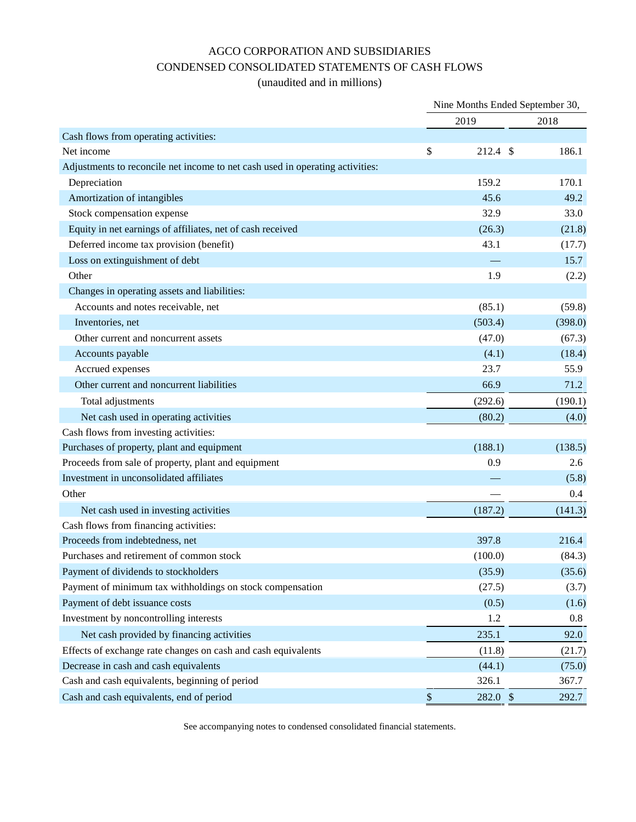# AGCO CORPORATION AND SUBSIDIARIES CONDENSED CONSOLIDATED STATEMENTS OF CASH FLOWS

(unaudited and in millions)

|                                                                               | Nine Months Ended September 30, |         |  |  |  |  |
|-------------------------------------------------------------------------------|---------------------------------|---------|--|--|--|--|
|                                                                               | 2019<br>2018                    |         |  |  |  |  |
| Cash flows from operating activities:                                         |                                 |         |  |  |  |  |
| Net income                                                                    | \$<br>$212.4$ \$                | 186.1   |  |  |  |  |
| Adjustments to reconcile net income to net cash used in operating activities: |                                 |         |  |  |  |  |
| Depreciation                                                                  | 159.2                           | 170.1   |  |  |  |  |
| Amortization of intangibles                                                   | 45.6                            | 49.2    |  |  |  |  |
| Stock compensation expense                                                    | 32.9                            | 33.0    |  |  |  |  |
| Equity in net earnings of affiliates, net of cash received                    | (26.3)                          | (21.8)  |  |  |  |  |
| Deferred income tax provision (benefit)                                       | 43.1                            | (17.7)  |  |  |  |  |
| Loss on extinguishment of debt                                                |                                 | 15.7    |  |  |  |  |
| Other                                                                         | 1.9                             | (2.2)   |  |  |  |  |
| Changes in operating assets and liabilities:                                  |                                 |         |  |  |  |  |
| Accounts and notes receivable, net                                            | (85.1)                          | (59.8)  |  |  |  |  |
| Inventories, net                                                              | (503.4)                         | (398.0) |  |  |  |  |
| Other current and noncurrent assets                                           | (47.0)                          | (67.3)  |  |  |  |  |
| Accounts payable                                                              | (4.1)                           | (18.4)  |  |  |  |  |
| Accrued expenses                                                              | 23.7                            | 55.9    |  |  |  |  |
| Other current and noncurrent liabilities                                      | 66.9                            | 71.2    |  |  |  |  |
| Total adjustments                                                             | (292.6)                         | (190.1) |  |  |  |  |
| Net cash used in operating activities                                         | (80.2)                          | (4.0)   |  |  |  |  |
| Cash flows from investing activities:                                         |                                 |         |  |  |  |  |
| Purchases of property, plant and equipment                                    | (188.1)                         | (138.5) |  |  |  |  |
| Proceeds from sale of property, plant and equipment                           | 0.9                             | 2.6     |  |  |  |  |
| Investment in unconsolidated affiliates                                       |                                 | (5.8)   |  |  |  |  |
| Other                                                                         |                                 | 0.4     |  |  |  |  |
| Net cash used in investing activities                                         | (187.2)                         | (141.3) |  |  |  |  |
| Cash flows from financing activities:                                         |                                 |         |  |  |  |  |
| Proceeds from indebtedness, net                                               | 397.8                           | 216.4   |  |  |  |  |
| Purchases and retirement of common stock                                      | (100.0)                         | (84.3)  |  |  |  |  |
| Payment of dividends to stockholders                                          | (35.9)                          | (35.6)  |  |  |  |  |
| Payment of minimum tax withholdings on stock compensation                     | (27.5)                          | (3.7)   |  |  |  |  |
| Payment of debt issuance costs                                                | (0.5)                           | (1.6)   |  |  |  |  |
| Investment by noncontrolling interests                                        | 1.2                             | $0.8\,$ |  |  |  |  |
| Net cash provided by financing activities                                     | 235.1                           | 92.0    |  |  |  |  |
| Effects of exchange rate changes on cash and cash equivalents                 | (11.8)                          | (21.7)  |  |  |  |  |
| Decrease in cash and cash equivalents                                         | (44.1)                          | (75.0)  |  |  |  |  |
| Cash and cash equivalents, beginning of period                                | 326.1                           | 367.7   |  |  |  |  |
| Cash and cash equivalents, end of period                                      | \$<br>282.0 \$                  | 292.7   |  |  |  |  |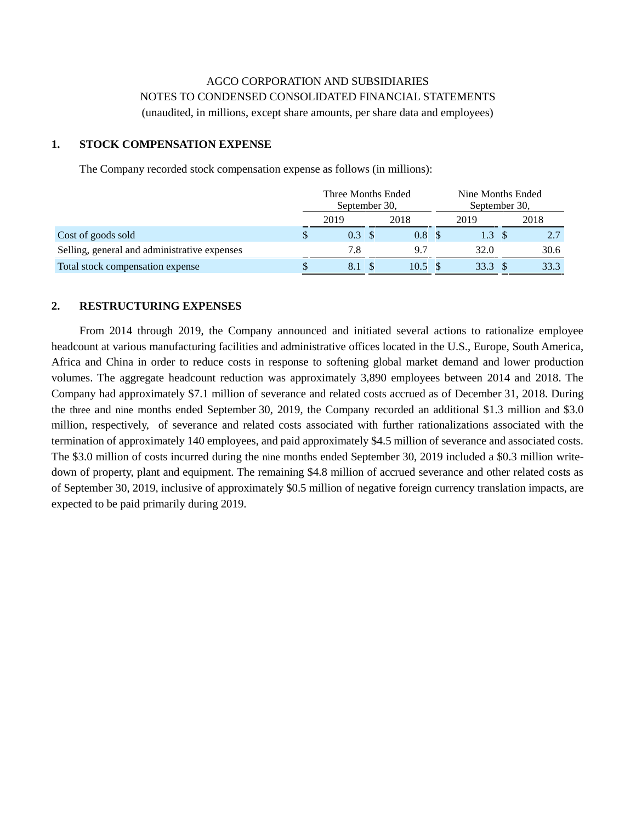# AGCO CORPORATION AND SUBSIDIARIES NOTES TO CONDENSED CONSOLIDATED FINANCIAL STATEMENTS (unaudited, in millions, except share amounts, per share data and employees)

# **1. STOCK COMPENSATION EXPENSE**

The Company recorded stock compensation expense as follows (in millions):

|                                              | Three Months Ended<br>September 30, |                    | Nine Months Ended<br>September 30, |  |      |  |  |
|----------------------------------------------|-------------------------------------|--------------------|------------------------------------|--|------|--|--|
|                                              | 2019                                | 2018               | 2019                               |  | 2018 |  |  |
| Cost of goods sold                           | \$<br>$0.3 \text{ }$ \$             | 0.8 <sup>°</sup>   | $1.3 \text{ }$ \$                  |  | 2.7  |  |  |
| Selling, general and administrative expenses | 7.8                                 | 9.7                | 32.0                               |  | 30.6 |  |  |
| Total stock compensation expense             | <b>8.1</b>                          | $10.5 \text{ }$ \$ | 33.3                               |  | 33.3 |  |  |

#### **2. RESTRUCTURING EXPENSES**

From 2014 through 2019, the Company announced and initiated several actions to rationalize employee headcount at various manufacturing facilities and administrative offices located in the U.S., Europe, South America, Africa and China in order to reduce costs in response to softening global market demand and lower production volumes. The aggregate headcount reduction was approximately 3,890 employees between 2014 and 2018. The Company had approximately \$7.1 million of severance and related costs accrued as of December 31, 2018. During the three and nine months ended September 30, 2019, the Company recorded an additional \$1.3 million and \$3.0 million, respectively, of severance and related costs associated with further rationalizations associated with the termination of approximately 140 employees, and paid approximately \$4.5 million of severance and associated costs. The \$3.0 million of costs incurred during the nine months ended September 30, 2019 included a \$0.3 million write down of property, plant and equipment. The remaining \$4.8 million of accrued severance and other related costs as of September 30, 2019, inclusive of approximately \$0.5 million of negative foreign currency translation impacts, are expected to be paid primarily during 2019.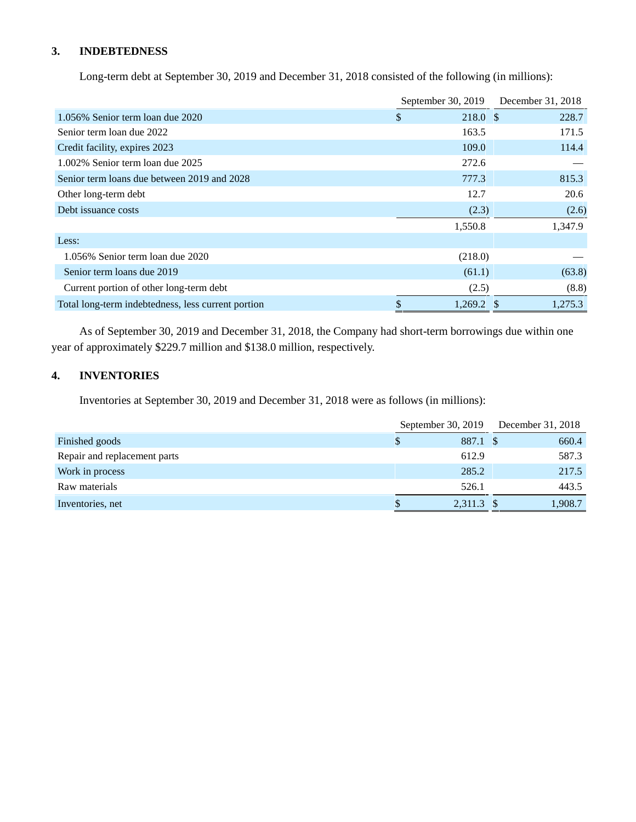# **3. INDEBTEDNESS**

Long-term debt at September 30, 2019 and December 31, 2018 consisted of the following (in millions):

|                                                    | September 30, 2019 | December 31, 2018 |
|----------------------------------------------------|--------------------|-------------------|
| 1.056% Senior term loan due 2020                   | \$<br>218.0 \$     | 228.7             |
| Senior term loan due 2022                          | 163.5              | 171.5             |
| Credit facility, expires 2023                      | 109.0              | 114.4             |
| 1.002\% Senior term loan due 2025                  | 272.6              |                   |
| Senior term loans due between 2019 and 2028        | 777.3              | 815.3             |
| Other long-term debt                               | 12.7               | 20.6              |
| Debt issuance costs                                | (2.3)              | (2.6)             |
|                                                    | 1,550.8            | 1,347.9           |
| Less:                                              |                    |                   |
| 1.056% Senior term loan due 2020                   | (218.0)            |                   |
| Senior term loans due 2019                         | (61.1)             | (63.8)            |
| Current portion of other long-term debt            | (2.5)              | (8.8)             |
| Total long-term indebtedness, less current portion | \$<br>$1,269.2$ \$ | 1,275.3           |

As of September 30, 2019 and December 31, 2018, the Company had short-term borrowings due within one year of approximately \$229.7 million and \$138.0 million, respectively.

# **4. INVENTORIES**

Inventories at September 30, 2019 and December 31, 2018 were as follows (in millions):

|                              | September 30, 2019 | December 31, 2018 |  |  |
|------------------------------|--------------------|-------------------|--|--|
| Finished goods               |                    | 887.1 \$<br>660.4 |  |  |
| Repair and replacement parts | 612.9              | 587.3             |  |  |
| Work in process              | 285.2              | 217.5             |  |  |
| Raw materials                | 526.1              | 443.5             |  |  |
| Inventories, net             | 2,311.3 \$         | 1,908.7           |  |  |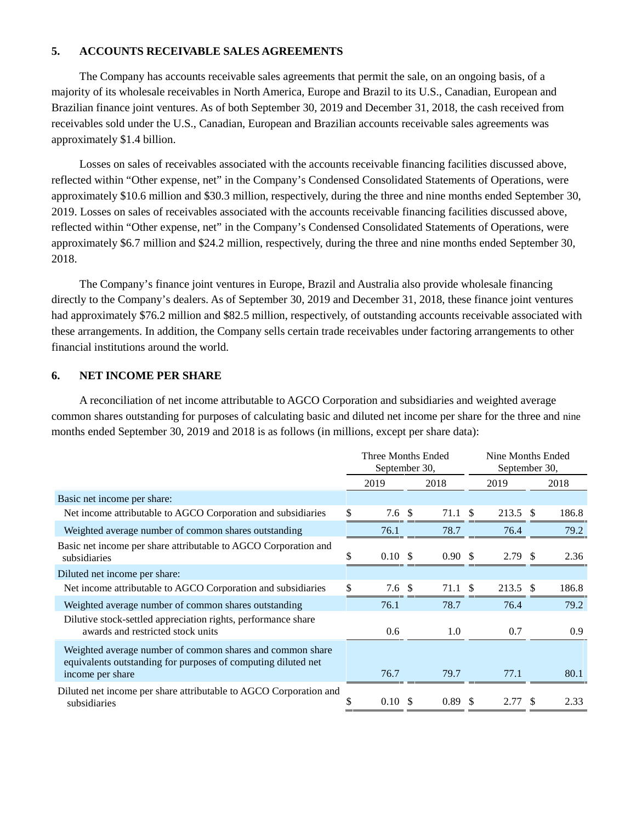#### **5. ACCOUNTS RECEIVABLE SALES AGREEMENTS**

The Company has accounts receivable sales agreements that permit the sale, on an ongoing basis, of a majority of its wholesale receivables in North America, Europe and Brazil to its U.S., Canadian, European and Brazilian finance joint ventures. As of both September 30, 2019 and December 31, 2018, the cash received from receivables sold under the U.S., Canadian, European and Brazilian accounts receivable sales agreements was approximately \$1.4 billion.

Losses on sales of receivables associated with the accounts receivable financing facilities discussed above, reflected within "Other expense, net" in the Company's Condensed Consolidated Statements of Operations, were approximately \$10.6 million and \$30.3 million, respectively, during the three and nine months ended September 30, 2019. Losses on sales of receivables associated with the accounts receivable financing facilities discussed above, reflected within "Other expense, net" in the Company's Condensed Consolidated Statements of Operations, were approximately \$6.7 million and \$24.2 million, respectively, during the three and nine months ended September 30, 2018.

The Company's finance joint ventures in Europe, Brazil and Australia also provide wholesale financing directly to the Company's dealers. As of September 30, 2019 and December 31, 2018, these finance joint ventures had approximately \$76.2 million and \$82.5 million, respectively, of outstanding accounts receivable associated with these arrangements. In addition, the Company sells certain trade receivables under factoring arrangements to other financial institutions around the world.

#### **6. NET INCOME PER SHARE**

A reconciliation of net income attributable to AGCO Corporation and subsidiaries and weighted average common shares outstanding for purposes of calculating basic and diluted net income per share for the three and nine months ended September 30, 2019 and 2018 is as follows (in millions, except per share data):

|                                                                                                                                                | Three Months Ended<br>September 30, |                  |  |                   |    | Nine Months Ended<br>September 30, |    |       |  |
|------------------------------------------------------------------------------------------------------------------------------------------------|-------------------------------------|------------------|--|-------------------|----|------------------------------------|----|-------|--|
|                                                                                                                                                |                                     | 2019             |  | 2018              |    | 2019                               |    | 2018  |  |
| Basic net income per share:                                                                                                                    |                                     |                  |  |                   |    |                                    |    |       |  |
| Net income attributable to AGCO Corporation and subsidiaries                                                                                   | \$                                  | 7.6 <sup>°</sup> |  | 71.1 \$           |    | 213.5 \$                           |    | 186.8 |  |
| Weighted average number of common shares outstanding                                                                                           |                                     | 76.1             |  | 78.7              |    | 76.4                               |    | 79.2  |  |
| Basic net income per share attributable to AGCO Corporation and<br>subsidiaries                                                                |                                     | 0.10S            |  | 0.90 <sup>5</sup> |    | $2.79$ \$                          |    | 2.36  |  |
| Diluted net income per share:                                                                                                                  |                                     |                  |  |                   |    |                                    |    |       |  |
| Net income attributable to AGCO Corporation and subsidiaries                                                                                   | \$                                  | 7.6 <sup>°</sup> |  | 71.1 \$           |    | 213.5 \$                           |    | 186.8 |  |
| Weighted average number of common shares outstanding                                                                                           |                                     | 76.1             |  | 78.7              |    | 76.4                               |    | 79.2  |  |
| Dilutive stock-settled appreciation rights, performance share<br>awards and restricted stock units                                             |                                     | 0.6              |  | 1.0               |    | 0.7                                |    | 0.9   |  |
| Weighted average number of common shares and common share<br>equivalents outstanding for purposes of computing diluted net<br>income per share |                                     | 76.7             |  | 79.7              |    | 77.1                               |    | 80.1  |  |
|                                                                                                                                                |                                     |                  |  |                   |    |                                    |    |       |  |
| Diluted net income per share attributable to AGCO Corporation and<br>subsidiaries                                                              | \$                                  | $0.10\,$ \$      |  | 0.89              | -S | 2.77                               | -S | 2.33  |  |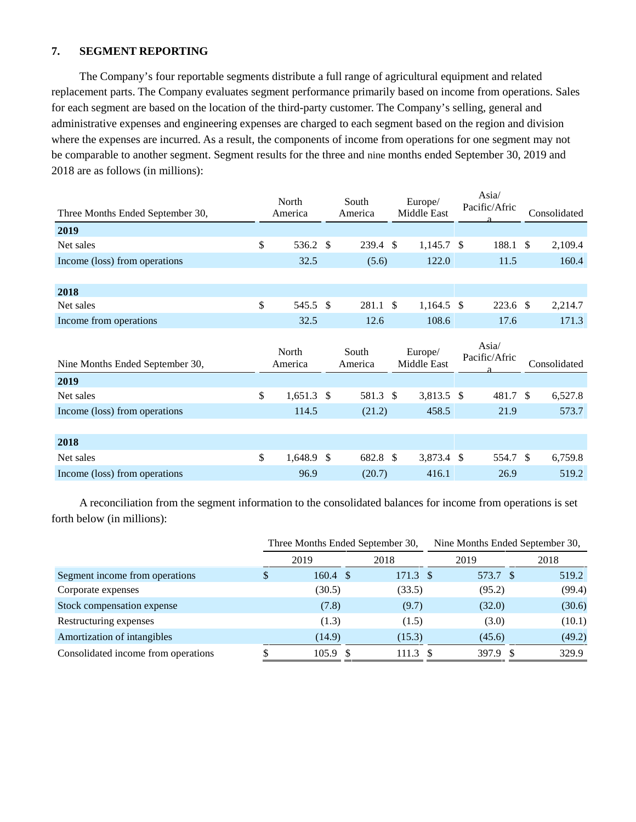### **7. SEGMENT REPORTING**

The Company's four reportable segments distribute a full range of agricultural equipment and related replacement parts. The Company evaluates segment performance primarily based on income from operations. Sales for each segment are based on the location of the third-party customer. The Company's selling, general and administrative expenses and engineering expenses are charged to each segment based on the region and division where the expenses are incurred. As a result, the components of income from operations for one segment may not be comparable to another segment. Segment results for the three and nine months ended September 30, 2019 and 2018 are as follows (in millions):

| Three Months Ended September 30, | North<br>America | South<br>America | Europe/<br>Middle East | Asia/<br>Pacific/Afric |      | Consolidated |
|----------------------------------|------------------|------------------|------------------------|------------------------|------|--------------|
| 2019                             |                  |                  |                        |                        |      |              |
| Net sales                        | \$<br>536.2 \$   | 239.4 \$         | $1,145.7$ \$           | 188.1                  | - \$ | 2,109.4      |
| Income (loss) from operations    | 32.5             | (5.6)            | 122.0                  | 11.5                   |      | 160.4        |
|                                  |                  |                  |                        |                        |      |              |
| 2018                             |                  |                  |                        |                        |      |              |
| Net sales                        | \$<br>545.5 \$   | 281.1 \$         | $1,164.5$ \$           | 223.6 \$               |      | 2,214.7      |
| Income from operations           | 32.5             | 12.6             | 108.6                  | 17.6                   |      | 171.3        |
|                                  |                  |                  |                        |                        |      |              |

| Nine Months Ended September 30, | North<br>America   | South<br>America | Europe/<br>Middle East | Asia/<br>Pacific/Afric | Consolidated |
|---------------------------------|--------------------|------------------|------------------------|------------------------|--------------|
| 2019                            |                    |                  |                        |                        |              |
| Net sales                       | \$<br>$1,651.3$ \$ | 581.3 \$         | 3,813.5 \$             | 481.7 \$               | 6,527.8      |
| Income (loss) from operations   | 114.5              | (21.2)           | 458.5                  | 21.9                   | 573.7        |
|                                 |                    |                  |                        |                        |              |
| 2018                            |                    |                  |                        |                        |              |
| Net sales                       | \$<br>$1,648.9$ \$ | 682.8 \$         | 3,873.4 \$             | 554.7 \$               | 6,759.8      |
| Income (loss) from operations   | 96.9               | (20.7)           | 416.1                  | 26.9                   | 519.2        |

A reconciliation from the segment information to the consolidated balances for income from operations is set forth below (in millions):

|                                     | Three Months Ended September 30, |                     |  |                     | Nine Months Ended September 30, |  |        |  |
|-------------------------------------|----------------------------------|---------------------|--|---------------------|---------------------------------|--|--------|--|
|                                     |                                  | 2019                |  | 2018                | 2019                            |  | 2018   |  |
| Segment income from operations      | \$                               | $160.4 \text{ }$ \$ |  | $171.3 \text{ }$ \$ | 573.7 \$                        |  | 519.2  |  |
| Corporate expenses                  |                                  | (30.5)              |  | (33.5)              | (95.2)                          |  | (99.4) |  |
| Stock compensation expense          |                                  | (7.8)               |  | (9.7)               | (32.0)                          |  | (30.6) |  |
| Restructuring expenses              |                                  | (1.3)               |  | (1.5)               | (3.0)                           |  | (10.1) |  |
| Amortization of intangibles         |                                  | (14.9)              |  | (15.3)              | (45.6)                          |  | (49.2) |  |
| Consolidated income from operations |                                  | $105.9$ \$          |  | $111.3 \text{ }$ \$ | 397.9                           |  | 329.9  |  |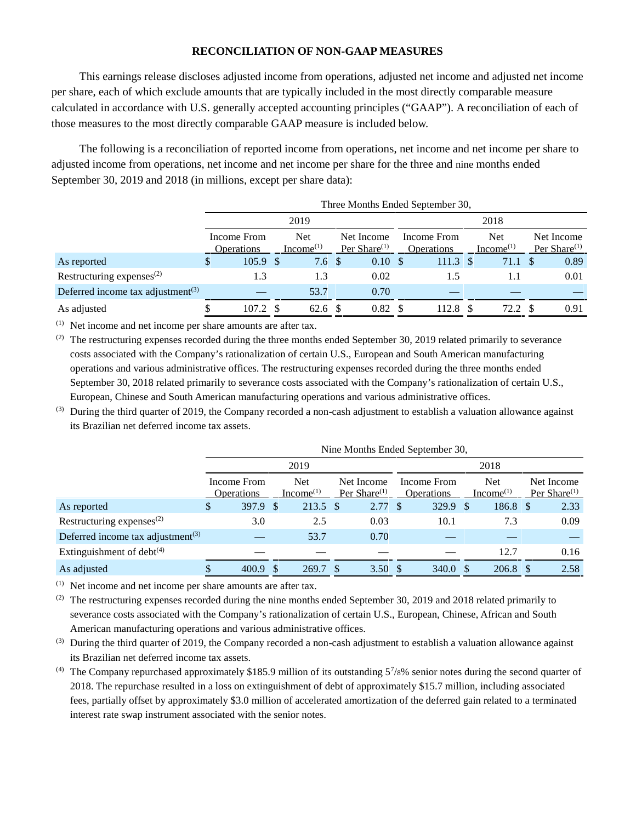#### **RECONCILIATION OF NON-GAAP MEASURES**

This earnings release discloses adjusted income from operations, adjusted net income and adjusted net income per share, each of which exclude amounts that are typically included in the most directly comparable measure calculated in accordance with U.S. generally accepted accounting principles ("GAAP"). A reconciliation of each of those measures to the most directly comparable GAAP measure is included below.

The following is a reconciliation of reported income from operations, net income and net income per share to adjusted income from operations, net income and net income per share for the three and nine months ended September 30, 2019 and 2018 (in millions, except per share data):

|                                               |                           |      |                                     |                               | Three Months Ended September 30, |                              |                                  |
|-----------------------------------------------|---------------------------|------|-------------------------------------|-------------------------------|----------------------------------|------------------------------|----------------------------------|
|                                               |                           |      | 2019                                |                               |                                  | 2018                         |                                  |
|                                               | Income From<br>Operations |      | <b>Net</b><br>Income <sup>(1)</sup> | Net Income<br>Per Share $(1)$ | Income From<br><b>Operations</b> | <b>Net</b><br>$Income^{(1)}$ | Net Income<br>Per Share $^{(1)}$ |
| As reported                                   | 105.9                     | - \$ | 7.6 <sup>°</sup>                    | $0.10 \text{ }$ \$            | $111.3 \text{ }$ \$              | 71.1                         | 0.89                             |
| Restructuring expenses $^{(2)}$               | 1.3                       |      | 1.3                                 | 0.02                          | 1.5                              | 1.1                          | 0.01                             |
| Deferred income tax adjustment <sup>(3)</sup> |                           |      | 53.7                                | 0.70                          |                                  |                              |                                  |
| As adjusted                                   | 107.2                     |      | 62.6                                | 0.82                          | 112.8                            | 72.2                         | 0.91                             |

(1) Net income and net income per share amounts are after tax.

 $(2)$  The restructuring expenses recorded during the three months ended September 30, 2019 related primarily to severance costs associated with the Company's rationalization of certain U.S., European and South American manufacturing operations and various administrative offices. The restructuring expenses recorded during the three months ended September 30, 2018 related primarily to severance costs associated with the Company's rationalization of certain U.S., European, Chinese and South American manufacturing operations and various administrative offices.

 $^{(3)}$  During the third quarter of 2019, the Company recorded a non-cash adjustment to establish a valuation allowance against its Brazilian net deferred income tax assets.

|                                               |                                  |               |                              | Nine Months Ended September 30,        |                    |                                  |                              |                               |
|-----------------------------------------------|----------------------------------|---------------|------------------------------|----------------------------------------|--------------------|----------------------------------|------------------------------|-------------------------------|
|                                               |                                  |               | 2019                         |                                        |                    |                                  | 2018                         |                               |
|                                               | Income From<br><b>Operations</b> |               | Net<br>Income <sup>(1)</sup> | Net Income<br>Per Share <sup>(1)</sup> |                    | Income From<br><b>Operations</b> | Net<br>Income <sup>(1)</sup> | Net Income<br>Per Share $(1)$ |
| As reported                                   | \$<br>397.9                      | - \$          | 213.5 \$                     | 2.77S                                  |                    | 329.9 \$                         | $186.8 \text{ }$ \$          | 2.33                          |
| Restructuring expenses $^{(2)}$               | 3.0                              |               | 2.5                          | 0.03                                   |                    | 10.1                             | 7.3                          | 0.09                          |
| Deferred income tax adjustment <sup>(3)</sup> |                                  |               | 53.7                         | 0.70                                   |                    |                                  |                              |                               |
| Extinguishment of debt $(4)$                  |                                  |               |                              |                                        |                    |                                  | 12.7                         | 0.16                          |
| As adjusted                                   | 400.9                            | <sup>\$</sup> | 269.7                        |                                        | 3.50 $\frac{1}{2}$ | 340.0 S                          | 206.8                        | 2.58                          |

Nine Months Ended September 30,

(1) Net income and net income per share amounts are after tax.

 $(2)$  The restructuring expenses recorded during the nine months ended September 30, 2019 and 2018 related primarily to severance costs associated with the Company's rationalization of certain U.S., European, Chinese, African and South American manufacturing operations and various administrative offices.

 $^{(3)}$  During the third quarter of 2019, the Company recorded a non-cash adjustment to establish a valuation allowance against its Brazilian net deferred income tax assets.

<sup>(4)</sup> The Company repurchased approximately \$185.9 million of its outstanding  $5\frac{7}{8}\%$  senior notes during the second quarter of 2018. The repurchase resulted in a loss on extinguishment of debt of approximately \$15.7 million, including associated fees, partially offset by approximately \$3.0 million of accelerated amortization of the deferred gain related to a terminated interest rate swap instrument associated with the senior notes.